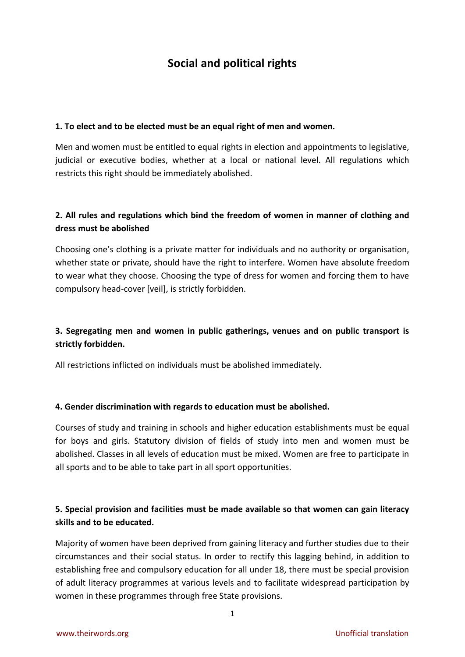# **Social and political rights**

#### **1. To elect and to be elected must be an equal right of men and women.**

Men and women must be entitled to equal rights in election and appointments to legislative, judicial or executive bodies, whether at a local or national level. All regulations which restricts this right should be immediately abolished.

## **2. All rules and regulations which bind the freedom of women in manner of clothing and dress must be abolished**

Choosing one's clothing is a private matter for individuals and no authority or organisation, whether state or private, should have the right to interfere. Women have absolute freedom to wear what they choose. Choosing the type of dress for women and forcing them to have compulsory head-cover [veil], is strictly forbidden.

# **3. Segregating men and women in public gatherings, venues and on public transport is strictly forbidden.**

All restrictions inflicted on individuals must be abolished immediately.

#### **4. Gender discrimination with regards to education must be abolished.**

Courses of study and training in schools and higher education establishments must be equal for boys and girls. Statutory division of fields of study into men and women must be abolished. Classes in all levels of education must be mixed. Women are free to participate in all sports and to be able to take part in all sport opportunities.

### **5. Special provision and facilities must be made available so that women can gain literacy skills and to be educated.**

Majority of women have been deprived from gaining literacy and further studies due to their circumstances and their social status. In order to rectify this lagging behind, in addition to establishing free and compulsory education for all under 18, there must be special provision of adult literacy programmes at various levels and to facilitate widespread participation by women in these programmes through free State provisions.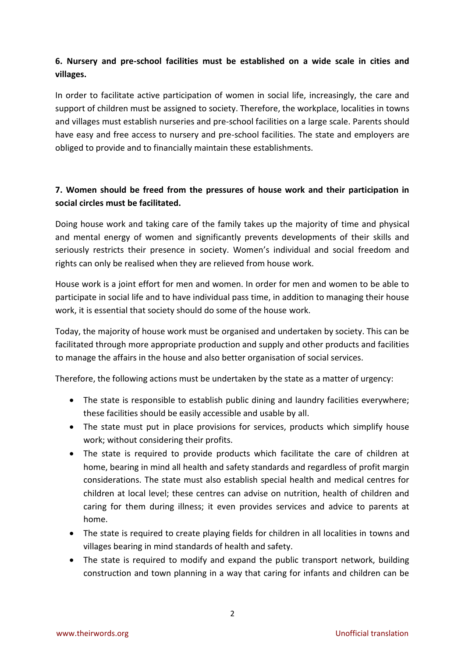## **6. Nursery and pre-school facilities must be established on a wide scale in cities and villages.**

In order to facilitate active participation of women in social life, increasingly, the care and support of children must be assigned to society. Therefore, the workplace, localities in towns and villages must establish nurseries and pre-school facilities on a large scale. Parents should have easy and free access to nursery and pre-school facilities. The state and employers are obliged to provide and to financially maintain these establishments.

# **7. Women should be freed from the pressures of house work and their participation in social circles must be facilitated.**

Doing house work and taking care of the family takes up the majority of time and physical and mental energy of women and significantly prevents developments of their skills and seriously restricts their presence in society. Women's individual and social freedom and rights can only be realised when they are relieved from house work.

House work is a joint effort for men and women. In order for men and women to be able to participate in social life and to have individual pass time, in addition to managing their house work, it is essential that society should do some of the house work.

Today, the majority of house work must be organised and undertaken by society. This can be facilitated through more appropriate production and supply and other products and facilities to manage the affairs in the house and also better organisation of social services.

Therefore, the following actions must be undertaken by the state as a matter of urgency:

- The state is responsible to establish public dining and laundry facilities everywhere; these facilities should be easily accessible and usable by all.
- The state must put in place provisions for services, products which simplify house work; without considering their profits.
- The state is required to provide products which facilitate the care of children at home, bearing in mind all health and safety standards and regardless of profit margin considerations. The state must also establish special health and medical centres for children at local level; these centres can advise on nutrition, health of children and caring for them during illness; it even provides services and advice to parents at home.
- The state is required to create playing fields for children in all localities in towns and villages bearing in mind standards of health and safety.
- The state is required to modify and expand the public transport network, building construction and town planning in a way that caring for infants and children can be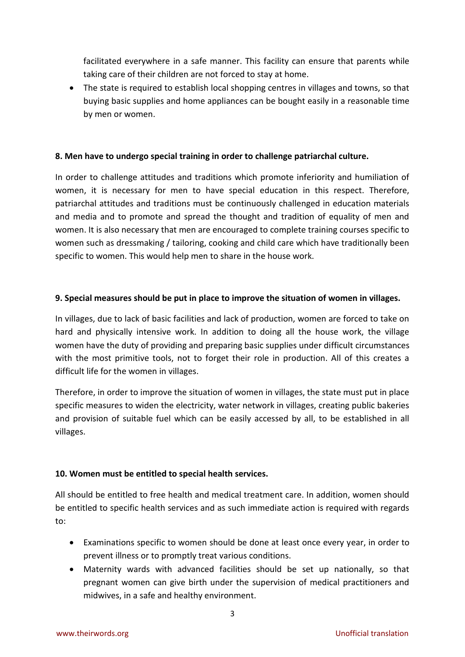facilitated everywhere in a safe manner. This facility can ensure that parents while taking care of their children are not forced to stay at home.

• The state is required to establish local shopping centres in villages and towns, so that buying basic supplies and home appliances can be bought easily in a reasonable time by men or women.

### **8. Men have to undergo special training in order to challenge patriarchal culture.**

In order to challenge attitudes and traditions which promote inferiority and humiliation of women, it is necessary for men to have special education in this respect. Therefore, patriarchal attitudes and traditions must be continuously challenged in education materials and media and to promote and spread the thought and tradition of equality of men and women. It is also necessary that men are encouraged to complete training courses specific to women such as dressmaking / tailoring, cooking and child care which have traditionally been specific to women. This would help men to share in the house work.

#### **9. Special measures should be put in place to improve the situation of women in villages.**

In villages, due to lack of basic facilities and lack of production, women are forced to take on hard and physically intensive work. In addition to doing all the house work, the village women have the duty of providing and preparing basic supplies under difficult circumstances with the most primitive tools, not to forget their role in production. All of this creates a difficult life for the women in villages.

Therefore, in order to improve the situation of women in villages, the state must put in place specific measures to widen the electricity, water network in villages, creating public bakeries and provision of suitable fuel which can be easily accessed by all, to be established in all villages.

### **10. Women must be entitled to special health services.**

All should be entitled to free health and medical treatment care. In addition, women should be entitled to specific health services and as such immediate action is required with regards to:

- Examinations specific to women should be done at least once every year, in order to prevent illness or to promptly treat various conditions.
- Maternity wards with advanced facilities should be set up nationally, so that pregnant women can give birth under the supervision of medical practitioners and midwives, in a safe and healthy environment.

3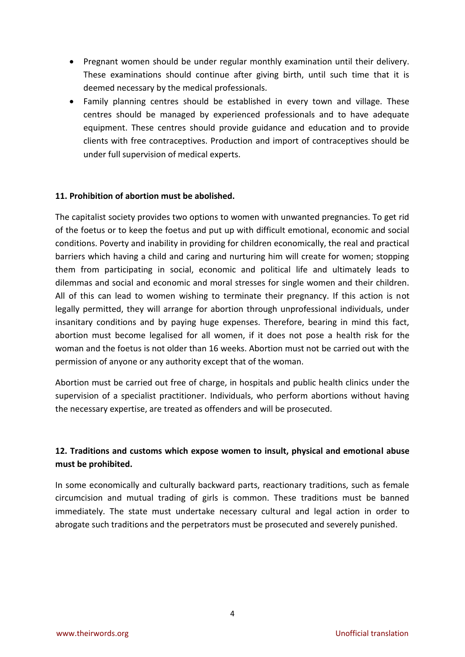- Pregnant women should be under regular monthly examination until their delivery. These examinations should continue after giving birth, until such time that it is deemed necessary by the medical professionals.
- Family planning centres should be established in every town and village. These centres should be managed by experienced professionals and to have adequate equipment. These centres should provide guidance and education and to provide clients with free contraceptives. Production and import of contraceptives should be under full supervision of medical experts.

#### **11. Prohibition of abortion must be abolished.**

The capitalist society provides two options to women with unwanted pregnancies. To get rid of the foetus or to keep the foetus and put up with difficult emotional, economic and social conditions. Poverty and inability in providing for children economically, the real and practical barriers which having a child and caring and nurturing him will create for women; stopping them from participating in social, economic and political life and ultimately leads to dilemmas and social and economic and moral stresses for single women and their children. All of this can lead to women wishing to terminate their pregnancy. If this action is not legally permitted, they will arrange for abortion through unprofessional individuals, under insanitary conditions and by paying huge expenses. Therefore, bearing in mind this fact, abortion must become legalised for all women, if it does not pose a health risk for the woman and the foetus is not older than 16 weeks. Abortion must not be carried out with the permission of anyone or any authority except that of the woman.

Abortion must be carried out free of charge, in hospitals and public health clinics under the supervision of a specialist practitioner. Individuals, who perform abortions without having the necessary expertise, are treated as offenders and will be prosecuted.

### **12. Traditions and customs which expose women to insult, physical and emotional abuse must be prohibited.**

In some economically and culturally backward parts, reactionary traditions, such as female circumcision and mutual trading of girls is common. These traditions must be banned immediately. The state must undertake necessary cultural and legal action in order to abrogate such traditions and the perpetrators must be prosecuted and severely punished.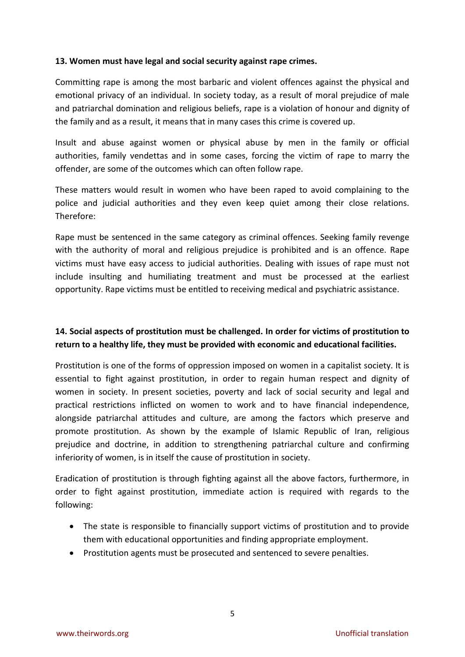#### **13. Women must have legal and social security against rape crimes.**

Committing rape is among the most barbaric and violent offences against the physical and emotional privacy of an individual. In society today, as a result of moral prejudice of male and patriarchal domination and religious beliefs, rape is a violation of honour and dignity of the family and as a result, it means that in many cases this crime is covered up.

Insult and abuse against women or physical abuse by men in the family or official authorities, family vendettas and in some cases, forcing the victim of rape to marry the offender, are some of the outcomes which can often follow rape.

These matters would result in women who have been raped to avoid complaining to the police and judicial authorities and they even keep quiet among their close relations. Therefore:

Rape must be sentenced in the same category as criminal offences. Seeking family revenge with the authority of moral and religious prejudice is prohibited and is an offence. Rape victims must have easy access to judicial authorities. Dealing with issues of rape must not include insulting and humiliating treatment and must be processed at the earliest opportunity. Rape victims must be entitled to receiving medical and psychiatric assistance.

# **14. Social aspects of prostitution must be challenged. In order for victims of prostitution to return to a healthy life, they must be provided with economic and educational facilities.**

Prostitution is one of the forms of oppression imposed on women in a capitalist society. It is essential to fight against prostitution, in order to regain human respect and dignity of women in society. In present societies, poverty and lack of social security and legal and practical restrictions inflicted on women to work and to have financial independence, alongside patriarchal attitudes and culture, are among the factors which preserve and promote prostitution. As shown by the example of Islamic Republic of Iran, religious prejudice and doctrine, in addition to strengthening patriarchal culture and confirming inferiority of women, is in itself the cause of prostitution in society.

Eradication of prostitution is through fighting against all the above factors, furthermore, in order to fight against prostitution, immediate action is required with regards to the following:

- The state is responsible to financially support victims of prostitution and to provide them with educational opportunities and finding appropriate employment.
- Prostitution agents must be prosecuted and sentenced to severe penalties.